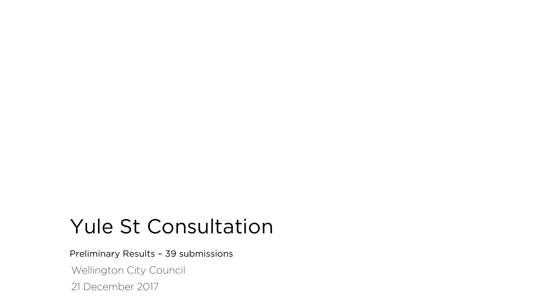## Yule St Consultation

Preliminary Results – 39 submissions

Wellington City Council

21 December 2017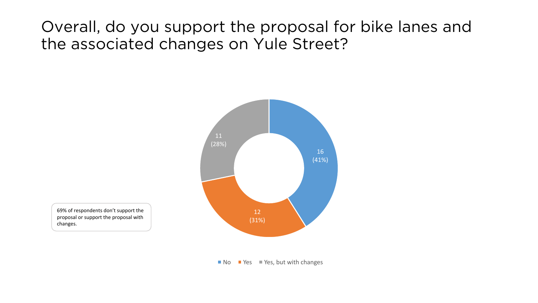#### Overall, do you support the proposal for bike lanes and the associated changes on Yule Street?



69% of respondents don't support the proposal or support the proposal with changes.

 $\blacksquare$  No  $\blacksquare$  Yes  $\blacksquare$  Yes, but with changes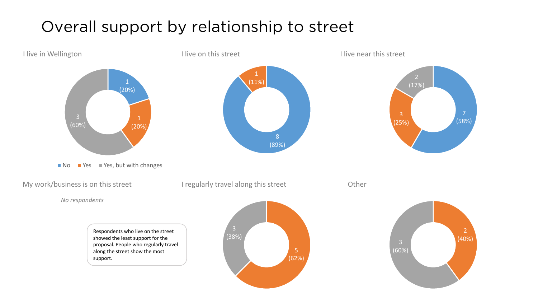### Overall support by relationship to street

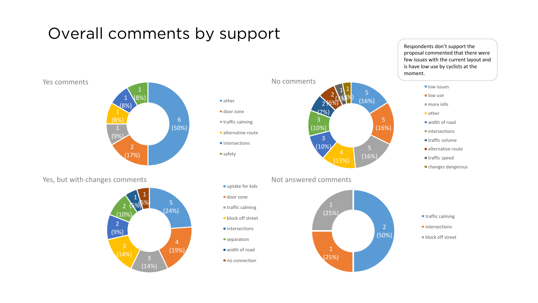#### Overall comments by support





Yes, but with changes comments **Notify and South American** Not answered comments





door zone

safety

 $\blacksquare$  uptake for kids

■ door zone  $t$  traffic calming **block** off street  $\blacksquare$  intersections separation ■ width of road  $\blacksquare$  no connection



(13%)

2 (6%)

1  $(\mathcal{S}\mathcal{A})$ (3%)

Respondents don't support the proposal commented that there were few issues with the current layout and is have low use by cyclists at the moment.



- $\blacksquare$  traffic volume
- $\blacksquare$  alternative route
- $\blacksquare$  traffic speed
- changes dangerous

- $\blacksquare$  intersections
- 
- $\blacksquare$  block off street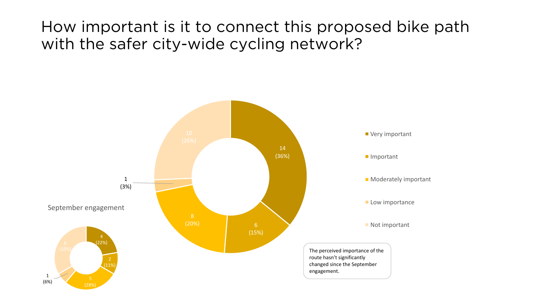#### How important is it to connect this proposed bike path with the safer city-wide cycling network?

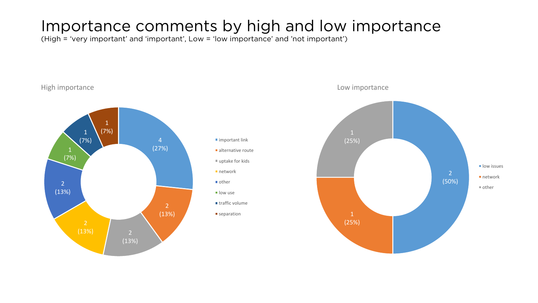#### Importance comments by high and low importance

(High = 'very important' and 'important', Low = 'low importance' and 'not important')



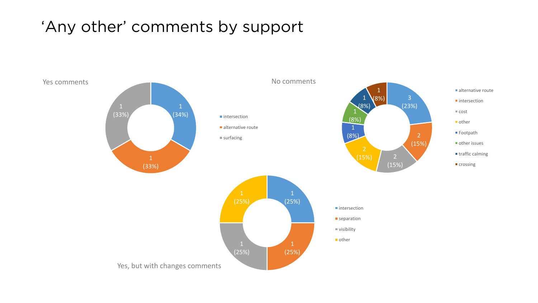#### 'Any other' comments by support

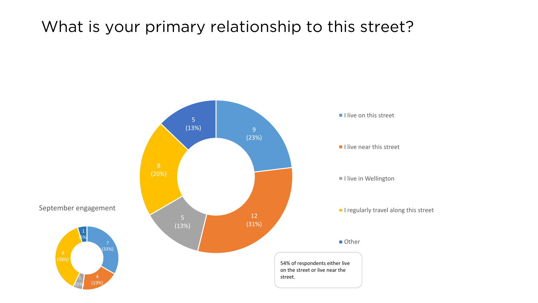#### What is your primary relationship to this street?

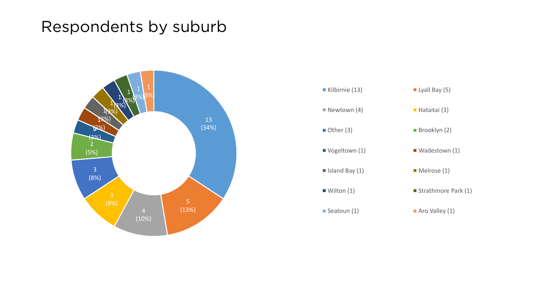#### Respondents by suburb



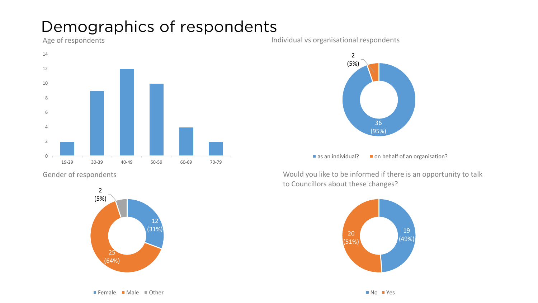#### Demographics of respondents



Gender of respondents



Age of respondents and the set of respondents and the limit of the limit of the limit of the limit of the limit of the limit of the limit of the limit of the limit of the limit of the limit of the limit of the limit of the



 $\blacksquare$  as an individual?  $\blacksquare$  on behalf of an organisation?

Would you like to be informed if there is an opportunity to talk to Councillors about these changes?

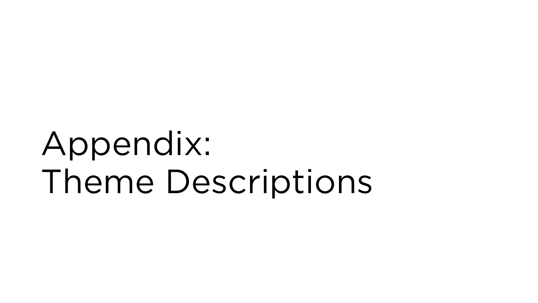# Appendix: Theme Descriptions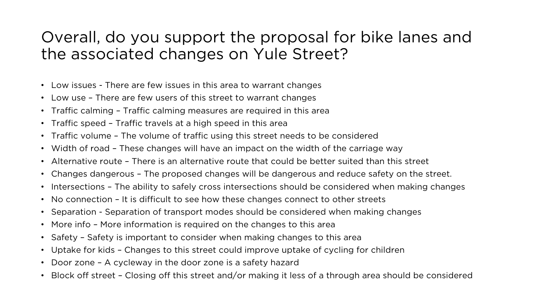#### Overall, do you support the proposal for bike lanes and the associated changes on Yule Street?

- Low issues There are few issues in this area to warrant changes
- Low use There are few users of this street to warrant changes
- Traffic calming Traffic calming measures are required in this area
- Traffic speed Traffic travels at a high speed in this area
- Traffic volume The volume of traffic using this street needs to be considered
- Width of road These changes will have an impact on the width of the carriage way
- Alternative route There is an alternative route that could be better suited than this street
- Changes dangerous The proposed changes will be dangerous and reduce safety on the street.
- Intersections The ability to safely cross intersections should be considered when making changes
- No connection It is difficult to see how these changes connect to other streets
- Separation Separation of transport modes should be considered when making changes
- More info More information is required on the changes to this area
- Safety Safety is important to consider when making changes to this area
- Uptake for kids Changes to this street could improve uptake of cycling for children
- Door zone A cycleway in the door zone is a safety hazard
- Block off street Closing off this street and/or making it less of a through area should be considered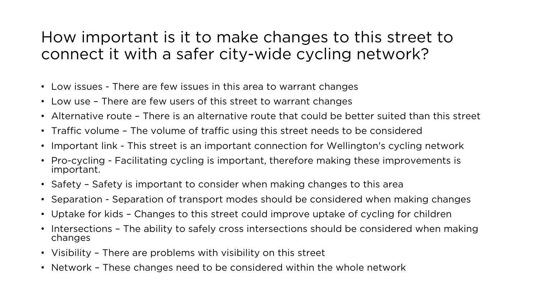#### How important is it to make changes to this street to connect it with a safer city-wide cycling network?

- Low issues There are few issues in this area to warrant changes
- Low use There are few users of this street to warrant changes
- Alternative route There is an alternative route that could be better suited than this street
- Traffic volume The volume of traffic using this street needs to be considered
- Important link This street is an important connection for Wellington's cycling network
- Pro-cycling Facilitating cycling is important, therefore making these improvements is important.
- Safety Safety is important to consider when making changes to this area
- Separation Separation of transport modes should be considered when making changes
- Uptake for kids Changes to this street could improve uptake of cycling for children
- Intersections The ability to safely cross intersections should be considered when making changes
- Visibility There are problems with visibility on this street
- Network These changes need to be considered within the whole network